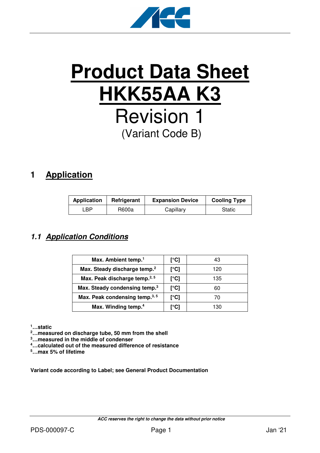

# **Product Data Sheet HKK55AA K3** Revision 1 (Variant Code B)

## **1 Application**

| <b>Application</b> | Refrigerant | <b>Expansion Device</b> | <b>Cooling Type</b> |
|--------------------|-------------|-------------------------|---------------------|
| ∟BP.               | R600a       | Capillary               | Static              |

#### **1.1 Application Conditions**

| Max. Ambient temp. <sup>1</sup>           | [°C] | 43  |
|-------------------------------------------|------|-----|
| Max. Steady discharge temp. <sup>2</sup>  | [°C] | 120 |
| Max. Peak discharge temp. <sup>2, 5</sup> | [°C] | 135 |
| Max. Steady condensing temp. <sup>3</sup> | [°C] | 60  |
| Max. Peak condensing temp. <sup>3,5</sup> | [°C] | 70  |
| Max. Winding temp. <sup>4</sup>           | r°C1 | 130 |

**<sup>1</sup>…static** 

**<sup>2</sup>…measured on discharge tube, 50 mm from the shell** 

**<sup>3</sup>…measured in the middle of condenser** 

**<sup>4</sup>…calculated out of the measured difference of resistance** 

**<sup>5</sup>…max 5% of lifetime** 

**Variant code according to Label; see General Product Documentation**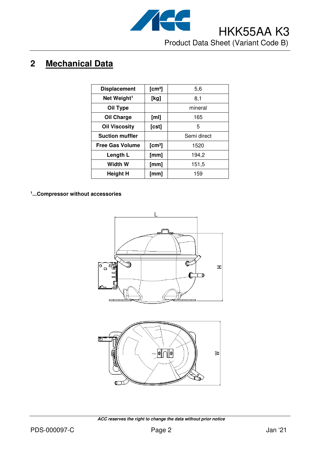

# **2 Mechanical Data**

| <b>Displacement</b>     | [cm <sup>3</sup> ] | 5,6         |
|-------------------------|--------------------|-------------|
| Net Weight <sup>1</sup> | [kg]               | 8,1         |
| Oil Type                |                    | mineral     |
| Oil Charge              | [ml]               | 165         |
| <b>Oil Viscosity</b>    | [cst]              | 5           |
| <b>Suction muffler</b>  |                    | Semi direct |
| <b>Free Gas Volume</b>  | [cm <sup>3</sup> ] | 1520        |
| Length L                | [mm]               | 194,2       |
| Width W                 | [mm]               | 151,5       |
| Height H                | [mm]               | 159         |

**1 ...Compressor without accessories**





 **ACC reserves the right to change the data without prior notice**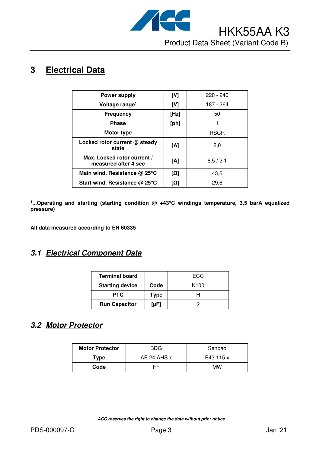

# **3 Electrical Data**

| <b>Power supply</b>                                 | [V]  | $220 - 240$ |
|-----------------------------------------------------|------|-------------|
| Voltage range <sup>1</sup>                          | [V]  | 187 - 264   |
| <b>Frequency</b>                                    | [Hz] | 50          |
| <b>Phase</b>                                        | [ph] |             |
| Motor type                                          |      | <b>RSCR</b> |
| Locked rotor current @ steady<br>state              | [A]  | 2,0         |
| Max. Locked rotor current /<br>measured after 4 sec | [A]  | 6, 5 / 2, 1 |
| Main wind. Resistance $@$ 25 $°C$                   | [Ω]  | 43,6        |
| Start wind. Resistance $@$ 25 $°C$                  | [Ω]  | 29,6        |

**1 ...Operating and starting (starting condition @ +43°C windings temperature, 3,5 barA equalized pressure)** 

**All data measured according to EN 60335** 

#### **3.1 Electrical Component Data**

| <b>Terminal board</b>  |             | ECC              |
|------------------------|-------------|------------------|
| <b>Starting device</b> | Code        | K <sub>100</sub> |
| <b>PTC</b>             | <b>Type</b> |                  |
| <b>Run Capacitor</b>   | [ $\mu$ F]  |                  |

### **3.2 Motor Protector**

| <b>Motor Protector</b> | <b>BDG</b>  | Senbao    |  |
|------------------------|-------------|-----------|--|
| Type                   | AE 24 AHS x | B43 115 x |  |
| Code                   | ᄃᄃ          | МW        |  |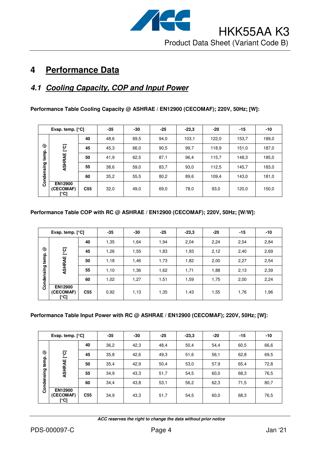

# **4 Performance Data**

#### **4.1 Cooling Capacity, COP and Input Power**

**Performance Table Cooling Capacity @ ASHRAE / EN12900 (CECOMAF); 220V, 50Hz; [W]:** 

|            | Evap. temp. $[°C]$                  |                 | $-35$ | -30  | $-25$ | $-23.3$ | $-20$ | $-15$ | $-10$ |
|------------|-------------------------------------|-----------------|-------|------|-------|---------|-------|-------|-------|
|            |                                     | 40              | 48,6  | 69,5 | 94,0  | 103,1   | 122,0 | 153,7 | 189,0 |
| ☺          | [°C]                                | 45              | 45,3  | 66,0 | 90,5  | 99,7    | 118,9 | 151,0 | 187,0 |
| temp.      | ASHRAE                              | 50              | 41,9  | 62,5 | 87,1  | 96,4    | 115,7 | 148,3 | 185,0 |
|            |                                     | 55              | 38,6  | 59,0 | 83,7  | 93,0    | 112,5 | 145,7 | 183,0 |
| Condensing |                                     | 60              | 35,2  | 55,5 | 80,2  | 89,6    | 109,4 | 143,0 | 181,0 |
|            | <b>EN12900</b><br>(CECOMAF)<br>[°C] | C <sub>55</sub> | 32,0  | 49,0 | 69,0  | 78,0    | 93,0  | 120,0 | 150,0 |

#### **Performance Table COP with RC @ ASHRAE / EN12900 (CECOMAF); 220V, 50Hz; [W/W]:**

|            | Evap. temp. $[°C]$                  |                 | $-35$ | -30  | $-25$ | $-23,3$ | $-20$ | -15  | $-10$ |
|------------|-------------------------------------|-----------------|-------|------|-------|---------|-------|------|-------|
|            |                                     | 40              | 1,35  | 1,64 | 1,94  | 2,04    | 2,24  | 2,54 | 2,84  |
| ☺          | ုတ္ပ                                | 45              | 1,26  | 1,55 | 1,83  | 1,93    | 2,12  | 2,40 | 2,69  |
| temp.      | ASHRAE                              | 50              | 1,18  | 1,46 | 1,73  | 1,82    | 2,00  | 2,27 | 2,54  |
| Condensing |                                     | 55              | 1,10  | 1,36 | 1,62  | 1,71    | 1,88  | 2,13 | 2,39  |
|            |                                     | 60              | 1,02  | 1,27 | 1,51  | 1,59    | 1,75  | 2,00 | 2,24  |
|            | <b>EN12900</b><br>(CECOMAF)<br>[°C] | C <sub>55</sub> | 0,92  | 1,13 | 1,35  | 1,43    | 1,55  | 1,76 | 1,96  |

#### **Performance Table Input Power with RC @ ASHRAE / EN12900 (CECOMAF); 220V, 50Hz; [W]:**

|            | Evap. temp. $[°C]$                  |                 | $-35$ | -30  | $-25$ | $-23.3$ | $-20$ | $-15$ | $-10$ |
|------------|-------------------------------------|-----------------|-------|------|-------|---------|-------|-------|-------|
|            |                                     | 40              | 36,2  | 42,3 | 48,4  | 50,4    | 54,4  | 60,5  | 66,6  |
| ☺          | ုင္                                 | 45              | 35,8  | 42,6 | 49,3  | 51,6    | 56,1  | 62,8  | 69,5  |
| temp.      | ASHRAE                              | 50              | 35,4  | 42,9 | 50,4  | 53,0    | 57,9  | 65,4  | 72,8  |
|            |                                     | 55              | 34,9  | 43,3 | 51,7  | 54,5    | 60,0  | 68,3  | 76,5  |
| Condensing |                                     | 60              | 34,4  | 43,8 | 53,1  | 56,2    | 62,3  | 71,5  | 80,7  |
|            | <b>EN12900</b><br>(CECOMAF)<br>[°C] | C <sub>55</sub> | 34,9  | 43,3 | 51,7  | 54,5    | 60,0  | 68,3  | 76,5  |